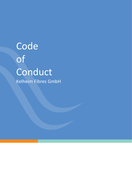# Code of Conduct Kelheim Fibres GmbH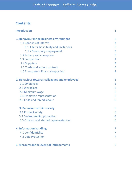# **Contents**

| <b>Introduction</b>                           | $\mathbf{1}$ |
|-----------------------------------------------|--------------|
| 1. Behaviour in the business environment      | 3            |
| 1.1 Conflicts of interest                     | 3            |
| 1.1.1 Gifts, hospitality and invitations      | 3            |
| 1.1.2 Secondary employment                    | 3            |
| 1.2 Bribery and corruption                    | 3            |
| 1.3 Competition                               | 4            |
| 1.4 Suppliers                                 | 4            |
| 1.5 Trade and export controls                 | 4            |
| 1.6 Transparent financial reporting           | 4            |
| 2. Behaviour towards colleagues and employees | 5            |
| 2.1 Employees                                 | 5            |
| 2.2 Workplace                                 | 5            |
| 2.3 Minimum wage                              | 5            |
| 2.4 Employee representation                   | 5            |
| 2.5 Child and forced labour                   | 6            |
| 3. Behaviour within society                   | 6            |
| 3.1 Product safety                            | 6            |
| 3.2 Environmental protection                  | 6            |
| 3.3 Officials and elected representatives     | 6            |
| <b>4. Information handling</b>                | 7            |
| 4.1 Confidentiality                           |              |
| <b>4.2 Data Protection</b>                    |              |
| 5. Measures in the event of infringements     |              |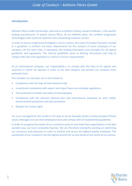## **Introduction**

Kelheim Fibres GmbH (hereinafter referred to as Kelheim Fibres), based in Kelheim, is the world's leading manufacturer of special viscose fibres. At our Kelheim plant, we combine progressive technologies with technical expertise and outstanding customer service.

In order to ensure a high level of integrity in all our actions, this Code of Conduct has been created as a guideline. It contains the basic requirements for the conduct of every employee of our company. At the same time, it represents the binding framework and principles for all special guidelines and regulations. The internal guidelines serve as binding instructions and help to comply with laws and regulations as well as in-house requirements.

As an international company, our responsibility is to comply with the laws of all regions and countries in which we operate in order to act with integrity and protect our company from potential harm.

This includes, for example, but is not limited to:

- Compliance with the laws of international trade
- In particular compliance with export and import bans and embargo regulations
- The protection of health and safety of all employees
- Compliance with the relevant national laws and international standards on work safety, environmental protection and data protection
- Respect for human rights

For us as management, this results in the duty to set an example and be a living example of those values. Managers ensure that employees know and comply with all implemented guidelines.

In order to recognise the needs of our customers early on and meet their expectations in the best possible way, we must constantly improve. We are therefore constantly working on optimising our structures and processes in order to achieve and secure the highest quality standards. The satisfaction of our customers has the highest priority for us and stands at the centre of our actions.

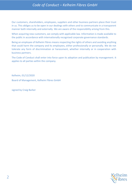# *Code of Conduct – Kelheim Fibres GmbH*

Our customers, shareholders, employees, suppliers and other business partners place their trust in us. This obliges us to be open in our dealings with others and to communicate in a transparent manner both internally and externally. We are aware of the responsibility arising from this.

When acquiring new customers, we comply with applicable law. Information is made available to the public in accordance with internationally recognised corporate governance standards.

Being an employee of Kelheim Fibres means respecting the rights of others and avoiding anything that could harm the company and its employees, either professionally or personally. We do not tolerate any form of discrimination or harassment, whether internally or in cooperation with business partners.

The Code of Conduct shall enter into force upon its adoption and publication by management. It applies to all parties within the company.

Kelheim, 01/12/2020 Board of Management, Kelheim Fibres GmbH

signed by Craig Barker

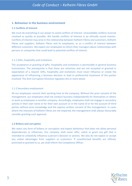# **1. Behaviour in the business environment**

#### **1.1 Conflicts of interest**

We must do everything in our power to avoid conflicts of interest. Unavoidable conflicts must be resolved as quickly as possible. We handle conflicts of interest in an ethically sound manner. Conflicts of interest may arise in the relationship between Kelheim Fibres and customers, Kelheim Fibres and suppliers, Kelheim Fibres and its employees, or as a conflict of interest between different customers. We expect our employees to inform their managers about relationships with persons or companies that could lead to potential conflicts of interest.

#### 1.1.1 Gifts, hospitality and invitations

The acceptance or granting of gifts, hospitality and invitations is permissible in general business transactions. The prerequisite is that these are voluntary and are not accepted or granted in expectation of a reward. Gifts, hospitality and invitations must never influence or create the appearance of influencing a business decision or lead to preferential treatment of the parties involved. The Anti-Corruption Directive regulates this in more detail.

#### 1.1.2 Secondary employment

All our employees commit their working time to the company. Without the prior consent of the management, our employees shall not conduct business independently for themselves or others or work as employees in another company. Accordingly, employees shall not engage in secondary activity in their own name or for their own account or in the name of or for the account of third parties without prior knowledge and the express written consent of the management. In cases where the interests of Kelheim Fibres are not impaired, the management shall always favourably consider granting such approval.

#### **1.2 Bribery and corruption**

We reject any form of bribery or corruption and expect behaviour that does not allow personal dependencies or influences. Our company shall never offer, solicit or grant any gift that is intended to unlawfully influence a person's decision or actions. We also do not expect or accept any undue advantages from suppliers or customers. If unauthorised benefits are offered, promised or granted to us, we shall inform the Compliance Officer.

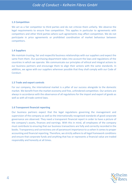#### **1.3 Competition**

We act as a fair competitor to third parties and do not criticize them unfairly. We observe the legal requirements to ensure free competition. This applies in particular to agreements with competitors and other third parties where such agreements may affect competition. We do not participate in price agreements or prohibited coordination of market behaviour between competitors.

#### **1.4 Suppliers**

We maintain trusting, fair and respectful business relationships with our suppliers and expect the same from them. Our purchasing department takes into account the laws and regulations of the countries in which we operate. We communicate our principles of ethical and integral actions to our business partners and encourage them to align their actions with the same standards. In addition, we agree with our suppliers wherever possible that they shall comply with our Code of Conduct.

#### **1.5 Trade and export controls**

For our company, the international market is a pillar of our success alongside to the domestic market. We benefit from the market economy and free, unhindered competition. Our actions are always in accordance with the observance of all regulations for the import and export of goods as well as with all trade control laws.

#### **1.6 Transparent financial reporting**

Our business partners expect that the legal regulations governing the management and supervision of the company as well as the internationally recognised standards of good corporate governance are observed. They need a transparent financial report in order to have a picture of the company's assets, finances and earnings. With this in mind, all employees of the company must contribute to ensuring that our business transactions are fully and correctly recorded in the books. Transparency and correctness are of paramount importance to us when it comes to proper accounting and financial reporting. Therefore, we strictly adhere to all legal framework conditions and ensure that corporate funds and anything that has or represents a financial value are traded responsibly and honestly at all times.

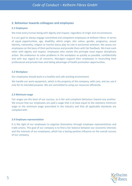# **2. Behaviour towards colleagues and employees**

#### **2.1 Employees**

We treat every human being with dignity and respect, regardless of origin and circumstances.

It is our goal to always engage committed and competent employees at Kelheim Fibres. In terms of equal opportunities, age, disability, ethnic origin, skin colour, gender, pregnancy, sexual identity, nationality, religion or marital status play no role in personnel selection. We assess our employees on the basis of their performance and provide them with fair feedback. We treat each other with dignity and respect. Employees who violate this principle must expect disciplinary action. We endeavour to solve problems in the workplace as quickly as possible, confidentially and with due regard to all concerns. Managers support their employees in reconciling their professional and private lives and taking advantage of health promotion opportunities.

#### **2.2 Workplace**

Our employees should work in a healthy and safe working environment.

We handle our work equipment, which is the property of the company, with care, and we use it only for its intended purpose. We are committed to using our resources efficiently.

#### **2.3 Minimum wage**

Fair wages are the basis of our success, as is fair and compliant behaviour toward one another. We ensure that our employees are paid a wage that is at least equal to the statutory minimum wage or the minimum wage prescribed in the industry and that all applicable standards are complied with.

#### **2.4 Employee representation**

It is the right of our employees to organise themselves through employee representatives and trade unions. The goal of our company is to find a fair balance between our economic interests and the interests of our employees, which has a lasting positive influence on the overall success of our company.

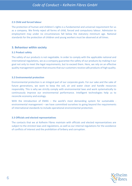#### **2.5 Child and forced labour**

The protection of human and children's rights is a fundamental and universal requirement for us as a company. We firmly reject all forms of child, forced and compulsory labour. Admission to employment may under no circumstances fall below the statutory minimum age. National standards for the protection of children and young workers must be observed at all times.

### **3. Behaviour within society**

#### **3.1 Product safety**

The safety of our products is not negotiable. In order to comply with the applicable national and international regulations, we as a company guarantee the safety of our products by making it our goal not only to meet the legal requirements, but to exceed them. Here, we rely on an effective quality management system that ensures that our customers receive safe products of high quality.

#### **3.2 Environmental protection**

Environmental protection is an integral part of our corporate goals. For our sake and the sake of future generations, we want to keep the soil, air and water clean and handle resources responsibly. This is why we strictly comply with environmental laws and work systematically to continuously improve our environmental performance. Intelligent technologies help us to reconcile economy and ecology.

With the introduction of EMAS – the world's most demanding system for sustainable environmental management – we have committed ourselves to going beyond the requirements of international standards to include operational environmental protection.

#### **3.3 Officials and elected representatives**

The contacts that we at Kelheim Fibres maintain with officials and elected representatives are subject to the strictest laws and regulations, as well as our internal regulations for the avoidance of conflicts of interest and the prohibition of bribery and corruption.

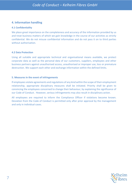# **4. Information handling**

#### **4.1 Confidentiality**

We place great importance on the completeness and accuracy of the information provided by us and treat business matters of which we gain knowledge in the course of our activities as strictly confidential. We do not misuse confidential information and do not pass it on to third parties without authorisation.

#### **4.2 Data Protection**

Using all suitable and appropriate technical and organisational means available, we protect corporate data as well as the personal data of our customers, suppliers, employees and other business partners against unauthorised access, unauthorised or improper use, loss or premature destruction. We support each other and exchange information within the defined limits.

#### **5. Measures in the event of infringements**

If employees violate agreements and regulations of any kind within the scope of their employment relationship, appropriate disciplinary measures shall be initiated. Priority shall be given to convincing the employees concerned to change their behaviour, by explaining the significance of our Code of Conduct. However, serious infringements may also result in disciplinary action.

All employees are required to inform the Compliance Officer if violations become known. Deviation from the Code of Conduct is permitted only after prior approval by the management and only in individual cases.